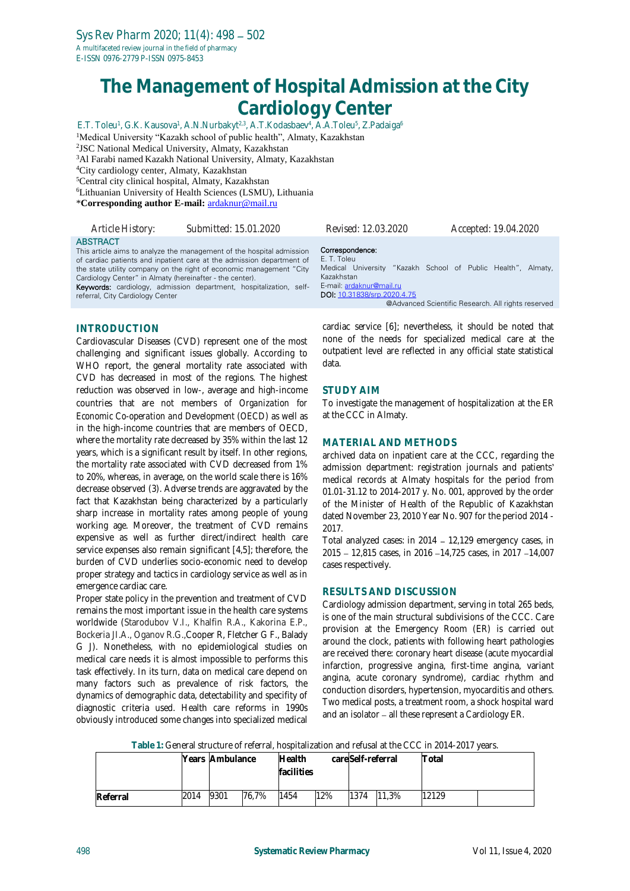# **The Management of Hospital Admission at the City Cardiology Center**

E.T. Toleu<sup>1</sup>, G.K. Kausova<sup>1</sup>, A.N.Nurbakyt<sup>2,3</sup>, A.T.Kodasbaev<sup>4</sup>, A.A.Toleu<sup>5</sup>, Z.Padaiga<sup>6</sup> <sup>1</sup>Medical University "Kazakh school of public health", Almaty, Kazakhstan JSC National Medical University, Almaty, Kazakhstan Al Farabi named Kazakh National University, Almaty, Kazakhstan City cardiology center, Almaty, Kazakhstan Central city clinical hospital, Almaty, Kazakhstan Lithuanian University of Health Sciences (LSMU), [Lithuania](https://en.wikipedia.org/wiki/Lithuania) \***Corresponding author E-mail:** [ardaknur@mail.ru](mailto:ardaknur@mail.ru)

*Article History: Submitted: 15.01.2020 Revised: 12.03.2020 Accepted: 19.04.2020* ABSTRACT This article aims to analyze the management of the hospital admission of cardiac patients and inpatient care at the admission department of the state utility company on the right of economic management "City Cardiology Center" in Almaty (hereinafter - the center). Keywords: cardiology, admission department, hospitalization, selfreferral, City Cardiology Center Correspondence: E. T. Toleu Medical University "Kazakh School of Public Health", Almaty, Kazakhstan E-mail: [ardaknur@mail.ru](mailto:ardaknur@mail.ru) DOI: [10.31838/srp.2020.4.75](http://dx.doi.org/10.5530/srp.2019.2.04) @Advanced Scientific Research. All rights reserved

# **INTRODUCTION**

Cardiovascular Diseases (CVD) represent one of the most challenging and significant issues globally. According to WHO report, the general mortality rate associated with CVD has decreased in most of the regions. The highest reduction was observed in low-, average and high-income countries that are not members of *Organization for Economic Co-operation and Development (OECD*) as well as in the high-income countries that are members of OECD, where the mortality rate decreased by 35% within the last 12 years, which is a significant result by itself. In other regions, the mortality rate associated with CVD decreased from 1% to 20%, whereas, in average, on the world scale there is 16% decrease observed (3). Adverse trends are aggravated by the fact that Kazakhstan being characterized by a particularly sharp increase in mortality rates among people of young working age. Moreover, the treatment of CVD remains expensive as well as further direct/indirect health care service expenses also remain significant [4,5]; therefore, the burden of CVD underlies socio-economic need to develop proper strategy and tactics in cardiology service as well as in emergence cardiac care.

Proper state policy in the prevention and treatment of CVD remains the most important issue in the health care systems worldwide (Starodubov V.I., Khalfin R.A., Kakorina E.P., Bockeria JI.A., Oganov R.G.,Cooper R, Fletcher G F., Balady G J). Nonetheless, with no epidemiological studies on medical care needs it is almost impossible to performs this task effectively. In its turn, data on medical care depend on many factors such as prevalence of risk factors, the dynamics of demographic data, detectability and specifity of diagnostic criteria used. Health care reforms in 1990s obviously introduced some changes into specialized medical cardiac service [6]; nevertheless, it should be noted that none of the needs for specialized medical care at the outpatient level are reflected in any official state statistical data.

### **STUDY AIM**

To investigate the management of hospitalization at the ER at the CCC in Almaty.

#### **MATERIAL AND METHODS**

archived data on inpatient care at the CCC, regarding the admission department: registration journals and patients' medical records at Almaty hospitals for the period from 01.01-31.12 to 2014-2017 y. No. 001, approved by the order of the Minister of Health of the Republic of Kazakhstan dated November 23, 2010 Year No. 907 for the period 2014 - 2017.

Total analyzed cases: in 2014 - 12,129 emergency cases, in 2015 - 12,815 cases, in 2016 -14,725 cases, in 2017 -14,007 cases respectively.

#### **RESULTS AND DISCUSSION**

Cardiology admission department, serving in total 265 beds, is one of the main structural subdivisions of the CCC. Care provision at the Emergency Room (ER) is carried out around the clock, patients with following heart pathologies are received there: coronary heart disease (acute myocardial infarction, progressive angina, first-time angina, variant angina, acute coronary syndrome), cardiac rhythm and conduction disorders, hypertension, myocarditis and others. Two medical posts, a treatment room, a shock hospital ward and an isolator - all these represent a Cardiology ER.

**Table 1:** General structure of referral, hospitalization and refusal at the CCC in 2014-2017 years.

|          |      | Years Ambulance |       | <b>Health</b><br>facilities |     | careSelf-referral |       | <b>Total</b> |  |
|----------|------|-----------------|-------|-----------------------------|-----|-------------------|-------|--------------|--|
| Referral | 2014 | 9301            | 76.7% | 1454                        | 12% | 1374              | 11.3% | 12129        |  |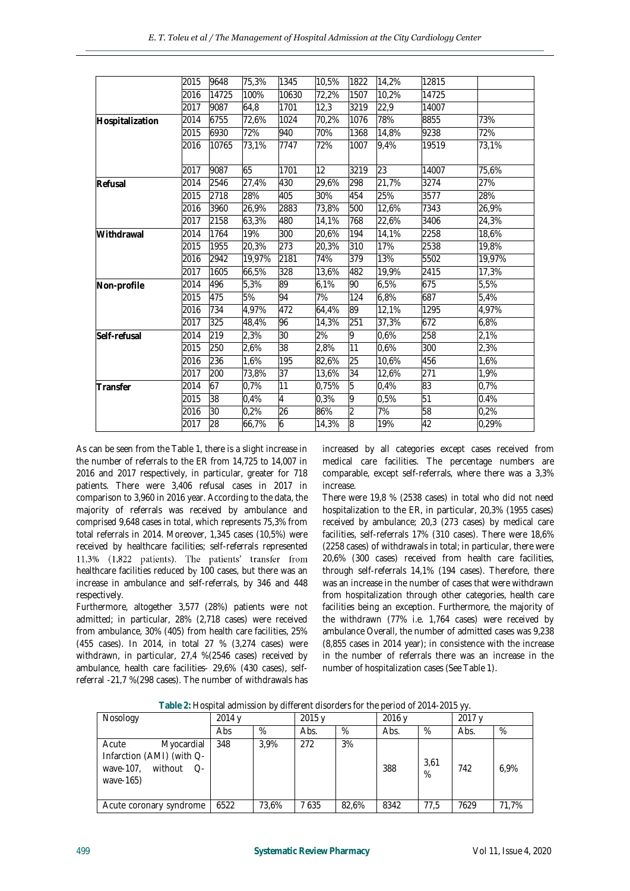|                 | 2015 | 9648  | 75,3%  | 1345            | 10,5%    | 1822 | 14,2% | 12815           |        |
|-----------------|------|-------|--------|-----------------|----------|------|-------|-----------------|--------|
|                 | 2016 | 14725 | 100%   | 10630           | 72,2%    | 1507 | 10,2% | 14725           |        |
|                 | 2017 | 9087  | 64,8   | 1701            | 12,3     | 3219 | 22,9  | 14007           |        |
| Hospitalization | 2014 | 6755  | 72,6%  | 1024            | 70,2%    | 1076 | 78%   | 8855            | 73%    |
|                 | 2015 | 6930  | 72%    | 940             | 70%      | 1368 | 14,8% | 9238            | 72%    |
|                 | 2016 | 10765 | 73,1%  | 7747            | 72%      | 1007 | 9,4%  | 19519           | 73,1%  |
|                 | 2017 | 9087  | 65     | 1701            | $12^{1}$ | 3219 | 23    | 14007           | 75,6%  |
| Refusal         | 2014 | 2546  | 27,4%  | 430             | 29,6%    | 298  | 21,7% | 3274            | 27%    |
|                 | 2015 | 2718  | 28%    | 405             | 30%      | 454  | 25%   | 3577            | 28%    |
|                 | 2016 | 3960  | 26,9%  | 2883            | 73,8%    | 500  | 12.6% | 7343            | 26.9%  |
|                 | 2017 | 2158  | 63,3%  | 480             | 14,1%    | 768  | 22,6% | 3406            | 24,3%  |
| Withdrawal      | 2014 | 1764  | 19%    | 300             | 20,6%    | 194  | 14,1% | 2258            | 18,6%  |
|                 | 2015 | 1955  | 20,3%  | 273             | 20,3%    | 310  | 17%   | 2538            | 19,8%  |
|                 | 2016 | 2942  | 19,97% | 2181            | 74%      | 379  | 13%   | 5502            | 19,97% |
|                 | 2017 | 1605  | 66,5%  | 328             | 13,6%    | 482  | 19,9% | 2415            | 17,3%  |
| Non-profile     | 2014 | 496   | 5,3%   | 89              | 6,1%     | 90   | 6,5%  | 675             | 5,5%   |
|                 | 2015 | 475   | 5%     | 94              | 7%       | 124  | 6,8%  | 687             | 5,4%   |
|                 | 2016 | 734   | 4,97%  | 472             | 64,4%    | 89   | 12,1% | 1295            | 4,97%  |
|                 | 2017 | 325   | 48,4%  | 96              | 14,3%    | 251  | 37,3% | 672             | 6,8%   |
| Self-refusal    | 2014 | 219   | 2,3%   | 30              | 2%       | 9    | 0,6%  | 258             | 2,1%   |
|                 | 2015 | 250   | 2,6%   | $\overline{38}$ | 2,8%     | 11   | 0,6%  | 300             | 2,3%   |
|                 | 2016 | 236   | 1,6%   | 195             | 82,6%    | 25   | 10,6% | 456             | 1,6%   |
|                 | 2017 | 200   | 73,8%  | 37              | 13,6%    | 34   | 12,6% | 271             | 1,9%   |
| Transfer        | 2014 | 67    | 0.7%   | 11              | 0.75%    | 5    | 0,4%  | 83              | 0.7%   |
|                 | 2015 | 38    | 0,4%   | $\overline{4}$  | 0,3%     | 9    | 0,5%  | $\overline{51}$ | 0.4%   |
|                 | 2016 | 30    | 0,2%   | 26              | 86%      | 2    | 7%    | 58              | 0,2%   |
|                 | 2017 | 28    | 66,7%  | 6               | 14,3%    | 8    | 19%   | 42              | 0,29%  |
|                 |      |       |        |                 |          |      |       |                 |        |

As can be seen from the Table 1, there is a slight increase in the number of referrals to the ER from 14,725 to 14,007 in 2016 and 2017 respectively, in particular, greater for 718 patients. There were 3,406 refusal cases in 2017 in comparison to 3,960 in 2016 year. According to the data, the majority of referrals was received by ambulance and comprised 9,648 cases in total, which represents 75,3% from total referrals in 2014. Moreover, 1,345 cases (10,5%) were received by healthcare facilities; self-referrals represented 11,3% (1,822 patients). The patients' transfer from healthcare facilities reduced by 100 cases, but there was an increase in ambulance and self-referrals, by 346 and 448 respectively.

Furthermore, altogether 3,577 (28%) patients were not admitted; in particular, 28% (2,718 cases) were received from ambulance, 30% (405) from health care facilities, 25% (455 cases). In 2014, in total 27 % (3,274 cases) were withdrawn, in particular, 27,4 %(2546 cases) received by ambulance, health care facilities- 29,6% (430 cases), selfreferral -21,7 %(298 cases). The number of withdrawals has

increased by all categories except cases received from medical care facilities. The percentage numbers are comparable, except self-referrals, where there was a 3,3% increase.

There were 19,8 % (2538 cases) in total who did not need hospitalization to the ER, in particular, 20,3% (1955 cases) received by ambulance; 20,3 (273 cases) by medical care facilities, self-referrals 17% (310 cases). There were 18,6% (2258 cases) of withdrawals in total; in particular, there were 20,6% (300 cases) received from health care facilities, through self-referrals 14,1% (194 cases). Therefore, there was an increase in the number of cases that were withdrawn from hospitalization through other categories, health care facilities being an exception. Furthermore, the majority of the withdrawn (77% i.e. 1,764 cases) were received by ambulance Overall, the number of admitted cases was 9,238 (8,855 cases in 2014 year); in consistence with the increase in the number of referrals there was an increase in the number of hospitalization cases (See Table 1).

| Table 2: Hospital admission by different disorders for the period of 2014-2015 yy. |  |
|------------------------------------------------------------------------------------|--|
|                                                                                    |  |

| Nosology                                                                                      | 2014 y |       | 2015 v |       | 2016 y |              | 2017v |       |
|-----------------------------------------------------------------------------------------------|--------|-------|--------|-------|--------|--------------|-------|-------|
|                                                                                               | Abs    | %     | Abs.   | %     | Abs.   | %            | Abs.  | %     |
| Acute<br>Myocardial<br>Infarction (AMI) (with Q-<br>without<br>wave-107,<br>$O-$<br>wave-165) | 348    | 3.9%  | 272    | 3%    | 388    | 3,61<br>$\%$ | 742   | 6.9%  |
| Acute coronary syndrome                                                                       | 6522   | 73.6% | 7 635  | 82.6% | 8342   | 77.5         | 7629  | 71.7% |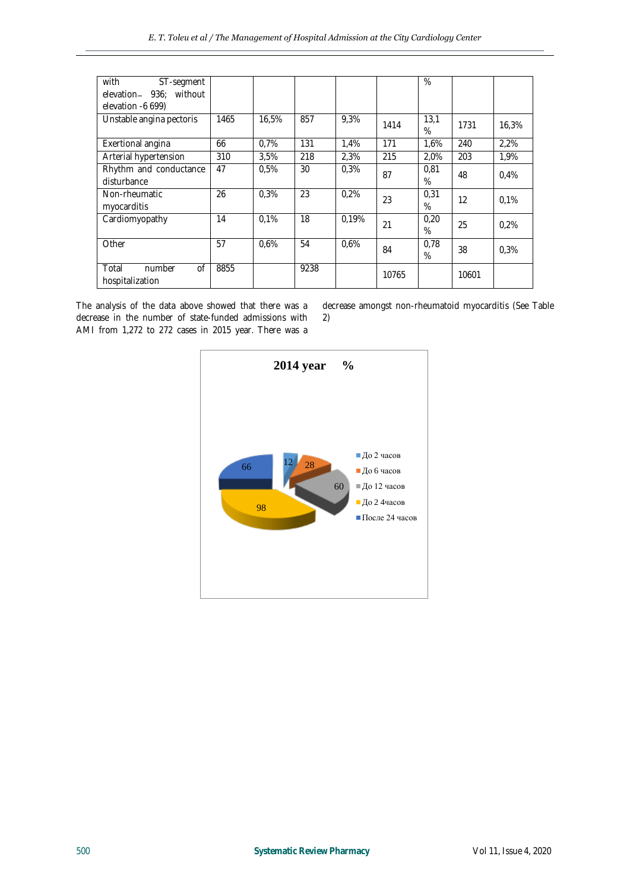| with<br>ST-segment<br>elevation- 936: without<br>elevation -6 699) |      |       |      |       |       | %            |       |       |
|--------------------------------------------------------------------|------|-------|------|-------|-------|--------------|-------|-------|
| Unstable angina pectoris                                           | 1465 | 16.5% | 857  | 9,3%  | 1414  | 13.1<br>$\%$ | 1731  | 16,3% |
| Exertional angina                                                  | 66   | 0.7%  | 131  | 1,4%  | 171   | 1.6%         | 240   | 2.2%  |
| Arterial hypertension                                              | 310  | 3,5%  | 218  | 2,3%  | 215   | 2,0%         | 203   | 1,9%  |
| Rhythm and conductance<br>disturbance                              | 47   | 0.5%  | 30   | 0.3%  | 87    | 0,81<br>$\%$ | 48    | 0.4%  |
| Non-rheumatic<br>myocarditis                                       | 26   | 0.3%  | 23   | 0.2%  | 23    | 0,31<br>$\%$ | 12    | 0.1%  |
| Cardiomyopathy                                                     | 14   | 0.1%  | 18   | 0.19% | 21    | 0,20<br>$\%$ | 25    | 0.2%  |
| Other                                                              | 57   | 0.6%  | 54   | 0.6%  | 84    | 0,78<br>$\%$ | 38    | 0.3%  |
| 0f<br>Total<br>number<br>hospitalization                           | 8855 |       | 9238 |       | 10765 |              | 10601 |       |

The analysis of the data above showed that there was a decrease in the number of state-funded admissions with AMI from 1,272 to 272 cases in 2015 year. There was a

decrease amongst non-rheumatoid myocarditis (See Table 2)

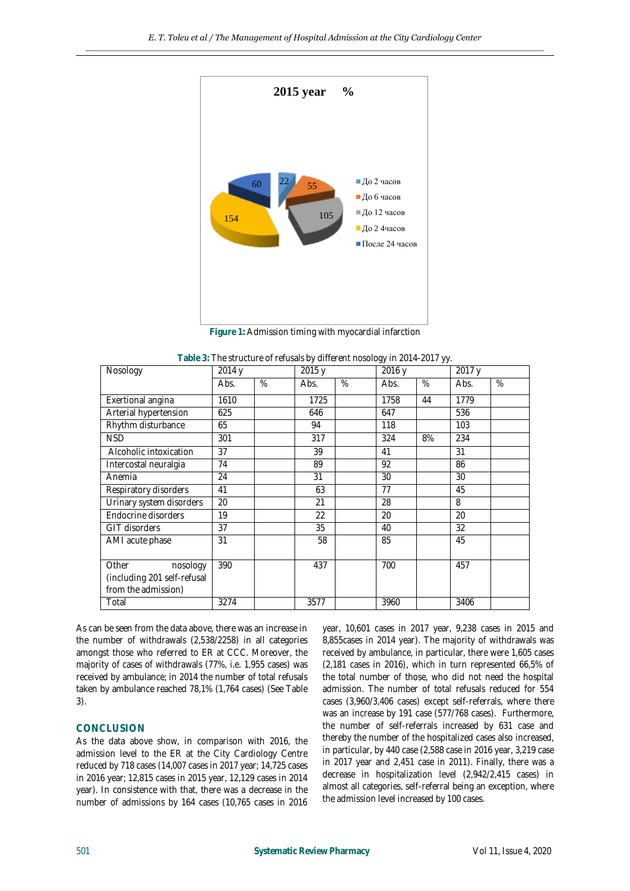

**Figure 1:** Admission timing with myocardial infarction

| Nosology                                                                | $\overline{2014}$ y |   | $\overline{2015}$ y |   | 2016 y |    | 2017 y |   |
|-------------------------------------------------------------------------|---------------------|---|---------------------|---|--------|----|--------|---|
|                                                                         | Abs.                | % | Abs.                | % | Abs.   | %  | Abs.   | % |
| Exertional angina                                                       | 1610                |   | 1725                |   | 1758   | 44 | 1779   |   |
| Arterial hypertension                                                   | 625                 |   | 646                 |   | 647    |    | 536    |   |
| Rhythm disturbance                                                      | 65                  |   | 94                  |   | 118    |    | 103    |   |
| <b>NSD</b>                                                              | 301                 |   | 317                 |   | 324    | 8% | 234    |   |
| Alcoholic intoxication                                                  | 37                  |   | 39                  |   | 41     |    | 31     |   |
| Intercostal neuralgia                                                   | 74                  |   | 89                  |   | 92     |    | 86     |   |
| Anemia                                                                  | 24                  |   | 31                  |   | 30     |    | 30     |   |
| Respiratory disorders                                                   | 41                  |   | 63                  |   | 77     |    | 45     |   |
| Urinary system disorders                                                | 20                  |   | 21                  |   | 28     |    | 8      |   |
| Endocrine disorders                                                     | 19                  |   | 22                  |   | 20     |    | 20     |   |
| GIT disorders                                                           | 37                  |   | 35                  |   | 40     |    | 32     |   |
| AMI acute phase                                                         | 31                  |   | 58                  |   | 85     |    | 45     |   |
| Other<br>nosology<br>(including 201 self-refusal<br>from the admission) | 390                 |   | 437                 |   | 700    |    | 457    |   |
| Total                                                                   | 3274                |   | 3577                |   | 3960   |    | 3406   |   |

**Table 3:** The structure of refusals by different nosology in 2014-2017 yy.

As can be seen from the data above, there was an increase in the number of withdrawals (2,538/2258) in all categories amongst those who referred to ER at CCC. Moreover, the majority of cases of withdrawals (77%, i.e. 1,955 cases) was received by ambulance; in 2014 the number of total refusals taken by ambulance reached 78,1% (1,764 cases) (See Table 3).

# **CONCLUSION**

As the data above show, in comparison with 2016, the admission level to the ER at the City Cardiology Centre reduced by 718 cases (14,007 cases in 2017 year; 14,725 cases in 2016 year; 12,815 cases in 2015 year, 12,129 cases in 2014 year). In consistence with that, there was a decrease in the number of admissions by 164 cases (10,765 cases in 2016 year, 10,601 cases in 2017 year, 9,238 cases in 2015 and 8,855cases in 2014 year). The majority of withdrawals was received by ambulance, in particular, there were 1,605 cases (2,181 cases in 2016), which in turn represented 66,5% of the total number of those, who did not need the hospital admission. The number of total refusals reduced for 554 cases (3,960/3,406 cases) except self-referrals, where there was an increase by 191 case (577/768 cases). Furthermore, the number of self-referrals increased by 631 case and thereby the number of the hospitalized cases also increased, in particular, by 440 case (2,588 case in 2016 year, 3,219 case in 2017 year and 2,451 case in 2011). Finally, there was a decrease in hospitalization level (2,942/2,415 cases) in almost all categories, self-referral being an exception, where the admission level increased by 100 cases.